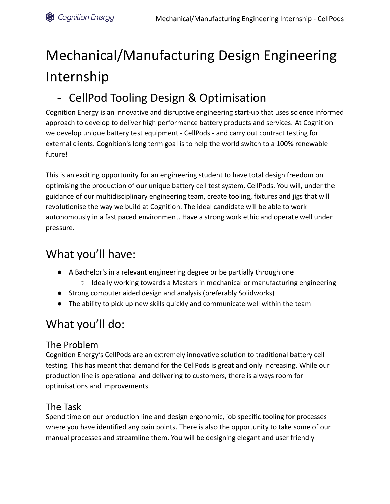# Mechanical/Manufacturing Design Engineering Internship

# - CellPod Tooling Design & Optimisation

Cognition Energy is an innovative and disruptive engineering start-up that uses science informed approach to develop to deliver high performance battery products and services. At Cognition we develop unique battery test equipment - CellPods - and carry out contract testing for external clients. Cognition's long term goal is to help the world switch to a 100% renewable future!

This is an exciting opportunity for an engineering student to have total design freedom on optimising the production of our unique battery cell test system, CellPods. You will, under the guidance of our multidisciplinary engineering team, create tooling, fixtures and jigs that will revolutionise the way we build at Cognition. The ideal candidate will be able to work autonomously in a fast paced environment. Have a strong work ethic and operate well under pressure.

# What you'll have:

- A Bachelor's in a relevant engineering degree or be partially through one
	- Ideally working towards a Masters in mechanical or manufacturing engineering
- Strong computer aided design and analysis (preferably Solidworks)
- The ability to pick up new skills quickly and communicate well within the team

# What you'll do:

#### The Problem

Cognition Energy's CellPods are an extremely innovative solution to traditional battery cell testing. This has meant that demand for the CellPods is great and only increasing. While our production line is operational and delivering to customers, there is always room for optimisations and improvements.

#### The Task

Spend time on our production line and design ergonomic, job specific tooling for processes where you have identified any pain points. There is also the opportunity to take some of our manual processes and streamline them. You will be designing elegant and user friendly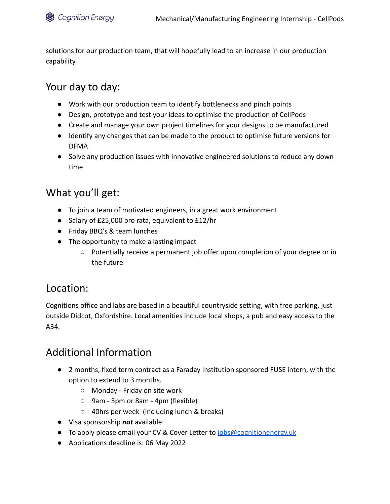solutions for our production team, that will hopefully lead to an increase in our production capability.

### Your day to day:

- Work with our production team to identify bottlenecks and pinch points
- Design, prototype and test your ideas to optimise the production of CellPods
- Create and manage your own project timelines for your designs to be manufactured
- Identify any changes that can be made to the product to optimise future versions for DFMA
- Solve any production issues with innovative engineered solutions to reduce any down time

### What you'll get:

- To join a team of motivated engineers, in a great work environment
- Salary of £25,000 pro rata, equivalent to £12/hr
- Friday BBQ's & team lunches
- The opportunity to make a lasting impact
	- Potentially receive a permanent job offer upon completion of your degree or in the future

### Location:

Cognitions office and labs are based in a beautiful countryside setting, with free parking, just outside Didcot, Oxfordshire. Local amenities include local shops, a pub and easy access to the A34.

### Additional Information

- 2 months, fixed term contract as a Faraday Institution sponsored FUSE intern, with the option to extend to 3 months.
	- Monday Friday on site work
	- 9am 5pm or 8am 4pm (flexible)
	- 40hrs per week (including lunch & breaks)
- Visa sponsorship *not* available
- To apply please email your CV & Cover Letter to [jobs@cognitionenergy.uk](mailto:jobs@cognitionenergy.uk)
- Applications deadline is: 06 May 2022